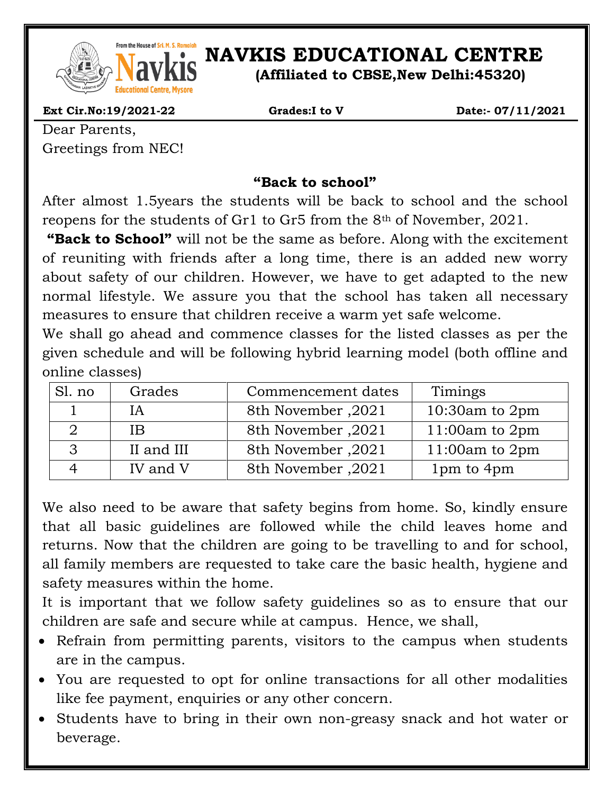

## *NAVEL RONSCOFSER, Ramaidh***</mark> <b>NAVKIS EDUCATIONAL CENTRE**

**(Affiliated to CBSE,New Delhi:45320)**

 **Ext Cir.No:19/2021-22 Grades:I to V Date:- 07/11/2021**

Dear Parents, Greetings from NEC!

## **"Back to school"**

After almost 1.5years the students will be back to school and the school reopens for the students of Gr1 to Gr5 from the 8th of November, 2021.

**"Back to School"** will not be the same as before. Along with the excitement of reuniting with friends after a long time, there is an added new worry about safety of our children. However, we have to get adapted to the new normal lifestyle. We assure you that the school has taken all necessary measures to ensure that children receive a warm yet safe welcome.

We shall go ahead and commence classes for the listed classes as per the given schedule and will be following hybrid learning model (both offline and online classes)

| Sl. no | Grades     | Commencement dates | Timings          |
|--------|------------|--------------------|------------------|
|        | <b>IA</b>  | 8th November, 2021 | 10:30am to $2pm$ |
|        | ΙB         | 8th November, 2021 | 11:00am to $2pm$ |
|        | II and III | 8th November, 2021 | 11:00am to $2pm$ |
|        | IV and V   | 8th November, 2021 | 1pm to 4pm       |

We also need to be aware that safety begins from home. So, kindly ensure that all basic guidelines are followed while the child leaves home and returns. Now that the children are going to be travelling to and for school, all family members are requested to take care the basic health, hygiene and safety measures within the home.

It is important that we follow safety guidelines so as to ensure that our children are safe and secure while at campus. Hence, we shall,

- Refrain from permitting parents, visitors to the campus when students are in the campus.
- You are requested to opt for online transactions for all other modalities like fee payment, enquiries or any other concern.
- Students have to bring in their own non-greasy snack and hot water or beverage.